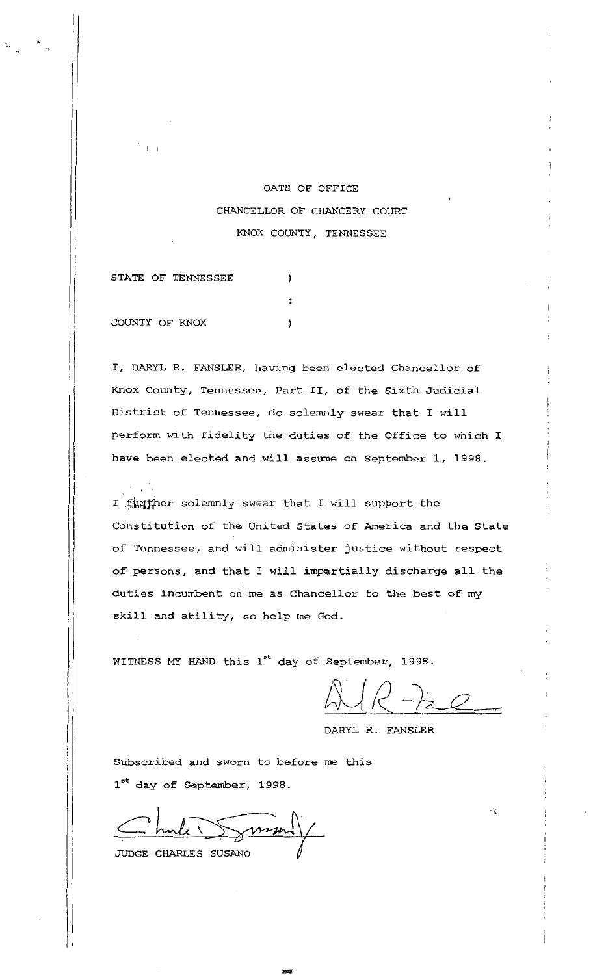## OATH OF OFFICE CHANCELLOR OF CHANCERY COURT I KNOX COUNTY, TENNESSEE

STATE OF TENNESSEE ) COUNTY OF KNOX  $\lambda$ 

 $\frac{1}{1}$ 

 $\vert$  $\prod_{i=1}^{n}$ 

> $\left\lbrack \right.$ I  $\vert$

I, DARYL R. FANSLER, having been elected Chancellor of Knox County, Tennessee, Part II, of the Sixth Judicial District of Tennessee, do solemnly swear that I will perform with fidelity the duties of the Office to which I have been elected and will assume on September 1, 1998.

I funther solemnly swear that I will support the Constitution of the United States of America and the State of Tennessee, and will administer justice without respect of persons, and that I will impartially discharge all the duties incumbent on me as Chancellor to the best of my skill and ability, so help me God.

WITNESS MY HAND this  $1^{st}$  day of September, 1998.

 $\frac{1}{2}$ 

 $\mathcal{A}$ 

DARYL R. FANSLER

Subscribed and sworn to before me this 1<sup>st</sup> day of September, 1998.

JUDGE CHARLES SUSANO